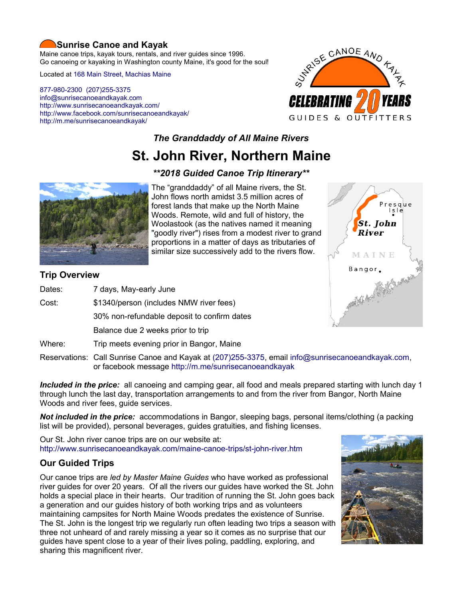# **Sunrise Canoe and Kayak**

Maine canoe trips, kayak tours, rentals, and river guides since 1996. Go canoeing or kayaking in Washington county Maine, it's good for the soul!

Located at [168 Main Street, Machias Maine](https://www.google.com/maps/place/Sunrise+Canoe+and+Kayak/@44.7213453,-67.4499306,520m/data=!3m2!1e3!4b1!4m5!3m4!1s0x4ca8cddc0180f8e7:0x696322ccd6ce6621!8m2!3d44.7213415!4d-67.4477419?hl=en)

[877-980-2300](tel:+1-877-980-2300) [\(207\)255-3375](tel:+1-207-255-3375) [info@sunrisecanoeandkayak.com](mailto:info@sunrisecanoeandkayak.com) <http://www.sunrisecanoeandkayak.com/> [http://www.facebook.com/sunrisecanoeandkayak/](https://www.facebook.com/sunrisecanoeandkayak/) <http://m.me/sunrisecanoeandkayak/>



# *The Granddaddy of All Maine Rivers*

# **St. John River, Northern Maine**

# *\*\*2018 Guided Canoe Trip Itinerary\*\**



The "granddaddy" of all Maine rivers, the St. John flows north amidst 3.5 million acres of forest lands that make up the North Maine Woods. Remote, wild and full of history, the Woolastook (as the natives named it meaning "goodly river") rises from a modest river to grand proportions in a matter of days as tributaries of similar size successively add to the rivers flow.

# **Trip Overview**

| Dates: | 7 days, May-early June                      |
|--------|---------------------------------------------|
| Cost:  | \$1340/person (includes NMW river fees)     |
|        | 30% non-refundable deposit to confirm dates |
|        | Balance due 2 weeks prior to trip           |
| Where: | Trip meets evening prior in Bangor, Maine   |



Reservations: Call Sunrise Canoe and Kayak at [\(207\)255-3375,](tel:+1-207-255-3375) email [info@sunrisecanoeandkayak.com,](mailto:info@sunrisecanoeandkayak.com) or facebook message<http://m.me/sunrisecanoeandkayak>

*Included in the price:* all canoeing and camping gear, all food and meals prepared starting with lunch day 1 through lunch the last day, transportation arrangements to and from the river from Bangor, North Maine Woods and river fees, guide services.

*Not included in the price:* accommodations in Bangor, sleeping bags, personal items/clothing (a packing list will be provided), personal beverages, guides gratuities, and fishing licenses.

Our St. John river canoe trips are on our website at: <http://www.sunrisecanoeandkayak.com/maine-canoe-trips/st-john-river.htm>

# **Our Guided Trips**

Our canoe trips are *led by Master Maine Guides* who have worked as professional river guides for over 20 years. Of all the rivers our guides have worked the St. John holds a special place in their hearts. Our tradition of running the St. John goes back a generation and our guides history of both working trips and as volunteers maintaining campsites for North Maine Woods predates the existence of Sunrise. The St. John is the longest trip we regularly run often leading two trips a season with three not unheard of and rarely missing a year so it comes as no surprise that our guides have spent close to a year of their lives poling, paddling, exploring, and sharing this magnificent river.

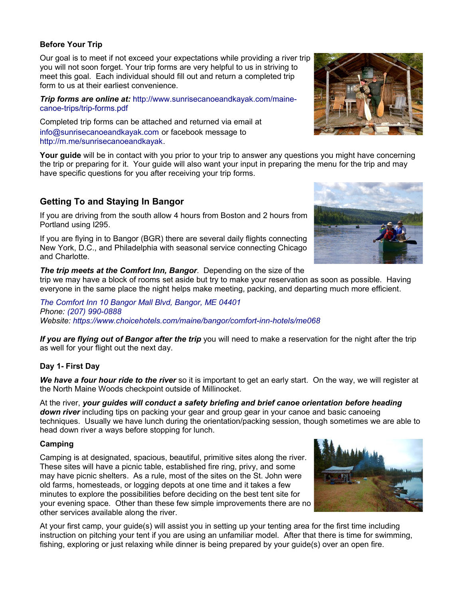## **Before Your Trip**

Our goal is to meet if not exceed your expectations while providing a river trip you will not soon forget. Your trip forms are very helpful to us in striving to meet this goal. Each individual should fill out and return a completed trip form to us at their earliest convenience.

*Trip forms are online at:* [http://www.sunrisecanoeandkayak.com/maine](http://www.sunrisecanoeandkayak.com/maine-canoe-trips/trip-forms.pdf)[canoe-trips/trip-forms.pdf](http://www.sunrisecanoeandkayak.com/maine-canoe-trips/trip-forms.pdf)

Completed trip forms can be attached and returned via email at [info@sunrisecanoeandkayak.com](mailto:info@sunrisecanoeandkayak.com) or facebook message to [http://m.me/sunrisecanoeandkayak.](http://m.me/sunrisecanoeandkayak)

**Your guide** will be in contact with you prior to your trip to answer any questions you might have concerning the trip or preparing for it. Your guide will also want your input in preparing the menu for the trip and may have specific questions for you after receiving your trip forms.

# **Getting To and Staying In Bangor**

If you are driving from the south allow 4 hours from Boston and 2 hours from Portland using I295.

If you are flying in to Bangor (BGR) there are several daily flights connecting New York, D.C., and Philadelphia with seasonal service connecting Chicago and Charlotte.

## *The trip meets at the Comfort Inn, Bangor*. Depending on the size of the

trip we may have a block of rooms set aside but try to make your reservation as soon as possible. Having everyone in the same place the night helps make meeting, packing, and departing much more efficient.

*[The Comfort Inn 10 Bangor Mall Blvd, Bangor, ME 04401](https://www.google.com/maps/place/Comfort+Inn/@44.833191,-68.7456647,518m/data=!3m2!1e3!4b1!4m5!3m4!1s0x4cafb49088684771:0xd8837166591a4072!8m2!3d44.833191!4d-68.743476?hl=en) Phone: [\(207\) 990-0888](tel:+1-207-990-0888) Website:<https://www.choicehotels.com/maine/bangor/comfort-inn-hotels/me068>*

*If you are flying out of Bangor after the trip* you will need to make a reservation for the night after the trip as well for your flight out the next day.

# **Day 1- First Day**

*We have a four hour ride to the river* so it is important to get an early start. On the way, we will register at the North Maine Woods checkpoint outside of Millinocket.

At the river, *your guides will conduct a safety briefing and brief canoe orientation before heading down river* including tips on packing your gear and group gear in your canoe and basic canoeing techniques. Usually we have lunch during the orientation/packing session, though sometimes we are able to head down river a ways before stopping for lunch.

## **Camping**

Camping is at designated, spacious, beautiful, primitive sites along the river. These sites will have a picnic table, established fire ring, privy, and some may have picnic shelters. As a rule, most of the sites on the St. John were old farms, homesteads, or logging depots at one time and it takes a few minutes to explore the possibilities before deciding on the best tent site for your evening space. Other than these few simple improvements there are no other services available along the river.

At your first camp, your guide(s) will assist you in setting up your tenting area for the first time including instruction on pitching your tent if you are using an unfamiliar model. After that there is time for swimming, fishing, exploring or just relaxing while dinner is being prepared by your guide(s) over an open fire.